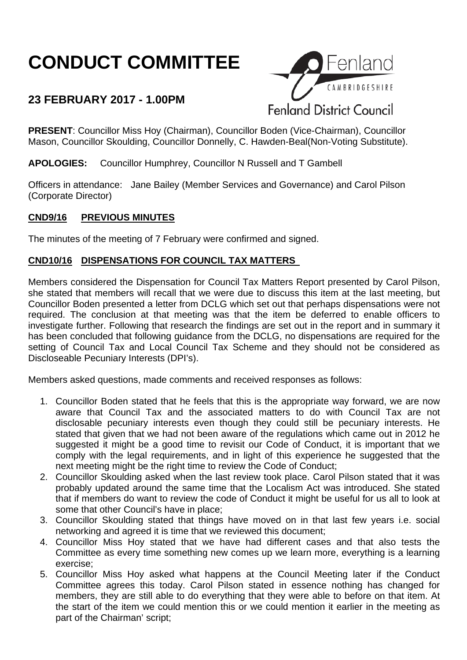# **CONDUCT COMMITTEE**

## **23 FEBRUARY 2017 - 1.00PM**



**PRESENT**: Councillor Miss Hoy (Chairman), Councillor Boden (Vice-Chairman), Councillor Mason, Councillor Skoulding, Councillor Donnelly, C. Hawden-Beal(Non-Voting Substitute).

**APOLOGIES:** Councillor Humphrey, Councillor N Russell and T Gambell

Officers in attendance: Jane Bailey (Member Services and Governance) and Carol Pilson (Corporate Director)

#### **CND9/16 PREVIOUS MINUTES**

The minutes of the meeting of 7 February were confirmed and signed.

#### **CND10/16 DISPENSATIONS FOR COUNCIL TAX MATTERS**

Members considered the Dispensation for Council Tax Matters Report presented by Carol Pilson, she stated that members will recall that we were due to discuss this item at the last meeting, but Councillor Boden presented a letter from DCLG which set out that perhaps dispensations were not required. The conclusion at that meeting was that the item be deferred to enable officers to investigate further. Following that research the findings are set out in the report and in summary it has been concluded that following guidance from the DCLG, no dispensations are required for the setting of Council Tax and Local Council Tax Scheme and they should not be considered as Discloseable Pecuniary Interests (DPI's).

Members asked questions, made comments and received responses as follows:

- 1. Councillor Boden stated that he feels that this is the appropriate way forward, we are now aware that Council Tax and the associated matters to do with Council Tax are not disclosable pecuniary interests even though they could still be pecuniary interests. He stated that given that we had not been aware of the regulations which came out in 2012 he suggested it might be a good time to revisit our Code of Conduct, it is important that we comply with the legal requirements, and in light of this experience he suggested that the next meeting might be the right time to review the Code of Conduct;
- 2. Councillor Skoulding asked when the last review took place. Carol Pilson stated that it was probably updated around the same time that the Localism Act was introduced. She stated that if members do want to review the code of Conduct it might be useful for us all to look at some that other Council's have in place;
- 3. Councillor Skoulding stated that things have moved on in that last few years i.e. social networking and agreed it is time that we reviewed this document;
- 4. Councillor Miss Hoy stated that we have had different cases and that also tests the Committee as every time something new comes up we learn more, everything is a learning exercise;
- 5. Councillor Miss Hoy asked what happens at the Council Meeting later if the Conduct Committee agrees this today. Carol Pilson stated in essence nothing has changed for members, they are still able to do everything that they were able to before on that item. At the start of the item we could mention this or we could mention it earlier in the meeting as part of the Chairman' script;